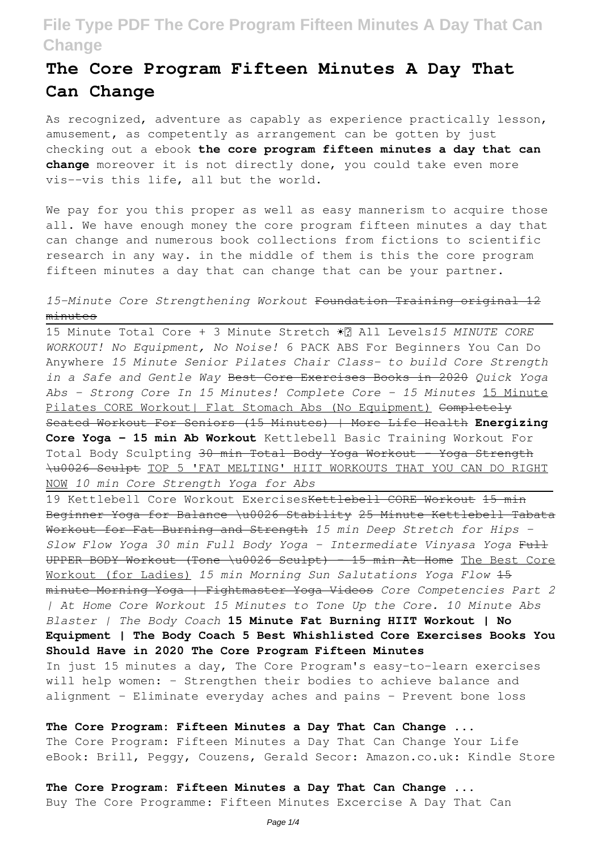# **The Core Program Fifteen Minutes A Day That Can Change**

As recognized, adventure as capably as experience practically lesson, amusement, as competently as arrangement can be gotten by just checking out a ebook **the core program fifteen minutes a day that can change** moreover it is not directly done, you could take even more vis--vis this life, all but the world.

We pay for you this proper as well as easy mannerism to acquire those all. We have enough money the core program fifteen minutes a day that can change and numerous book collections from fictions to scientific research in any way. in the middle of them is this the core program fifteen minutes a day that can change that can be your partner.

### *15-Minute Core Strengthening Workout* Foundation Training original 12 minutes

15 Minute Total Core + 3 Minute Stretch ☀️ All Levels*15 MINUTE CORE WORKOUT! No Equipment, No Noise!* 6 PACK ABS For Beginners You Can Do Anywhere *15 Minute Senior Pilates Chair Class- to build Core Strength in a Safe and Gentle Way* Best Core Exercises Books in 2020 *Quick Yoga Abs - Strong Core In 15 Minutes! Complete Core - 15 Minutes* 15 Minute Pilates CORE Workout| Flat Stomach Abs (No Equipment) Completely Seated Workout For Seniors (15 Minutes) | More Life Health **Energizing Core Yoga - 15 min Ab Workout** Kettlebell Basic Training Workout For Total Body Sculpting 30 min Total Body Yoga Workout - Yoga Strength \u0026 Sculpt TOP 5 'FAT MELTING' HIIT WORKOUTS THAT YOU CAN DO RIGHT NOW *10 min Core Strength Yoga for Abs*

19 Kettlebell Core Workout ExercisesKettlebell CORE Workout 15 min Beginner Yoga for Balance \u0026 Stability 25 Minute Kettlebell Tabata Workout for Fat Burning and Strength *15 min Deep Stretch for Hips - Slow Flow Yoga 30 min Full Body Yoga - Intermediate Vinyasa Yoga* Full UPPER BODY Workout (Tone \u0026 Sculpt) - 15 min At Home The Best Core Workout (for Ladies) *15 min Morning Sun Salutations Yoga Flow* 15 minute Morning Yoga | Fightmaster Yoga Videos *Core Competencies Part 2 | At Home Core Workout 15 Minutes to Tone Up the Core. 10 Minute Abs Blaster | The Body Coach* **15 Minute Fat Burning HIIT Workout | No Equipment | The Body Coach 5 Best Whishlisted Core Exercises Books You Should Have in 2020 The Core Program Fifteen Minutes** In just 15 minutes a day, The Core Program's easy-to-learn exercises will help women: - Strengthen their bodies to achieve balance and alignment - Eliminate everyday aches and pains - Prevent bone loss

**The Core Program: Fifteen Minutes a Day That Can Change ...** The Core Program: Fifteen Minutes a Day That Can Change Your Life eBook: Brill, Peggy, Couzens, Gerald Secor: Amazon.co.uk: Kindle Store

### **The Core Program: Fifteen Minutes a Day That Can Change ...**

Buy The Core Programme: Fifteen Minutes Excercise A Day That Can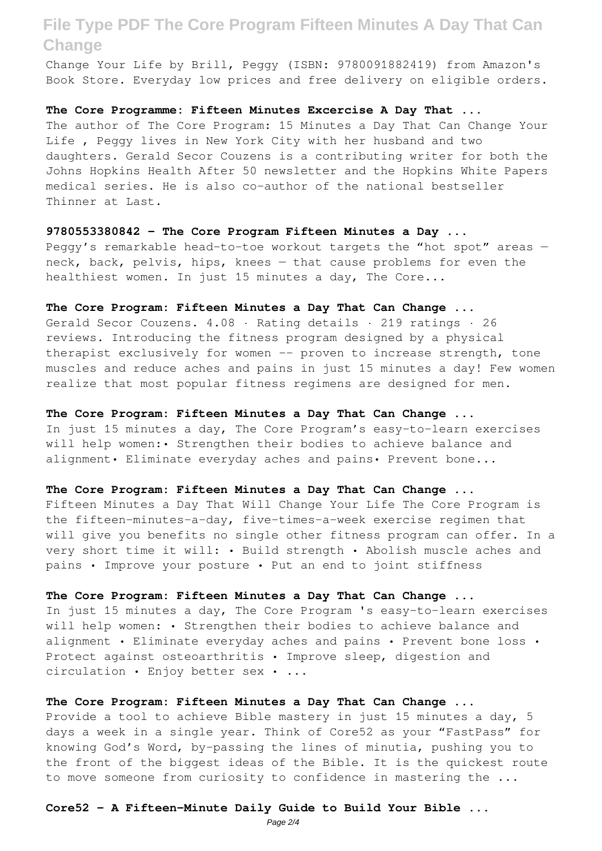Change Your Life by Brill, Peggy (ISBN: 9780091882419) from Amazon's Book Store. Everyday low prices and free delivery on eligible orders.

**The Core Programme: Fifteen Minutes Excercise A Day That ...** The author of The Core Program: 15 Minutes a Day That Can Change Your Life , Peggy lives in New York City with her husband and two daughters. Gerald Secor Couzens is a contributing writer for both the Johns Hopkins Health After 50 newsletter and the Hopkins White Papers medical series. He is also co-author of the national bestseller Thinner at Last.

**9780553380842 - The Core Program Fifteen Minutes a Day ...** Peggy's remarkable head-to-toe workout targets the "hot spot" areas neck, back, pelvis, hips, knees — that cause problems for even the healthiest women. In just 15 minutes a day, The Core...

**The Core Program: Fifteen Minutes a Day That Can Change ...** Gerald Secor Couzens. 4.08 · Rating details · 219 ratings · 26 reviews. Introducing the fitness program designed by a physical therapist exclusively for women -- proven to increase strength, tone muscles and reduce aches and pains in just 15 minutes a day! Few women

realize that most popular fitness regimens are designed for men.

**The Core Program: Fifteen Minutes a Day That Can Change ...** In just 15 minutes a day, The Core Program's easy-to-learn exercises will help women:• Strengthen their bodies to achieve balance and alignment• Eliminate everyday aches and pains• Prevent bone...

**The Core Program: Fifteen Minutes a Day That Can Change ...** Fifteen Minutes a Day That Will Change Your Life The Core Program is the fifteen-minutes-a-day, five-times-a-week exercise regimen that will give you benefits no single other fitness program can offer. In a very short time it will: • Build strength • Abolish muscle aches and pains • Improve your posture • Put an end to joint stiffness

**The Core Program: Fifteen Minutes a Day That Can Change ...** In just 15 minutes a day, The Core Program 's easy-to-learn exercises will help women: • Strengthen their bodies to achieve balance and alignment • Eliminate everyday aches and pains • Prevent bone loss • Protect against osteoarthritis • Improve sleep, digestion and circulation • Enjoy better sex • ...

**The Core Program: Fifteen Minutes a Day That Can Change ...** Provide a tool to achieve Bible mastery in just 15 minutes a day, 5 days a week in a single year. Think of Core52 as your "FastPass" for knowing God's Word, by-passing the lines of minutia, pushing you to the front of the biggest ideas of the Bible. It is the quickest route to move someone from curiosity to confidence in mastering the ...

### **Core52 - A Fifteen-Minute Daily Guide to Build Your Bible ...**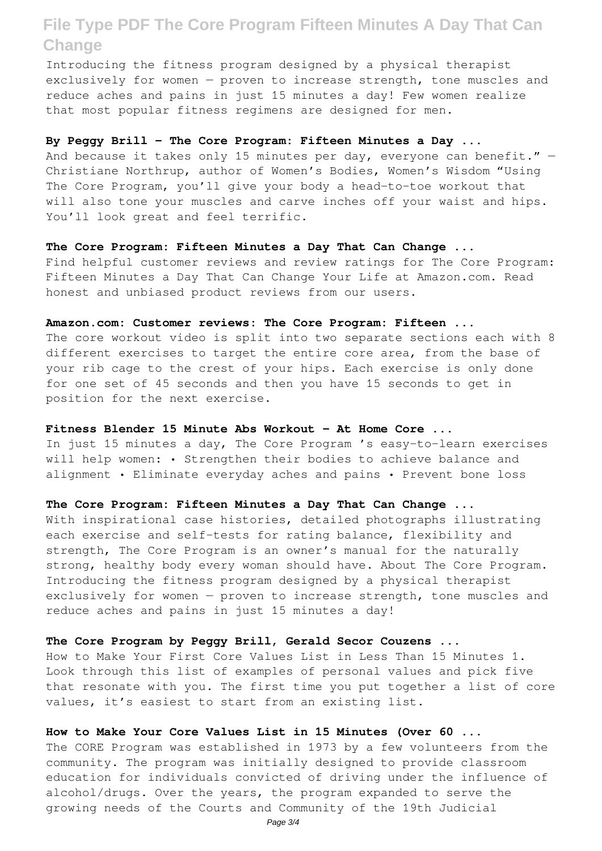Introducing the fitness program designed by a physical therapist exclusively for women — proven to increase strength, tone muscles and reduce aches and pains in just 15 minutes a day! Few women realize that most popular fitness regimens are designed for men.

#### **By Peggy Brill - The Core Program: Fifteen Minutes a Day ...**

And because it takes only 15 minutes per day, everyone can benefit."  $-$ Christiane Northrup, author of Women's Bodies, Women's Wisdom "Using The Core Program, you'll give your body a head-to-toe workout that will also tone your muscles and carve inches off your waist and hips. You'll look great and feel terrific.

#### **The Core Program: Fifteen Minutes a Day That Can Change ...**

Find helpful customer reviews and review ratings for The Core Program: Fifteen Minutes a Day That Can Change Your Life at Amazon.com. Read honest and unbiased product reviews from our users.

#### **Amazon.com: Customer reviews: The Core Program: Fifteen ...**

The core workout video is split into two separate sections each with 8 different exercises to target the entire core area, from the base of your rib cage to the crest of your hips. Each exercise is only done for one set of 45 seconds and then you have 15 seconds to get in position for the next exercise.

#### **Fitness Blender 15 Minute Abs Workout - At Home Core ...**

In just 15 minutes a day, The Core Program 's easy-to-learn exercises will help women: • Strengthen their bodies to achieve balance and alignment • Eliminate everyday aches and pains • Prevent bone loss

### **The Core Program: Fifteen Minutes a Day That Can Change ...**

With inspirational case histories, detailed photographs illustrating each exercise and self-tests for rating balance, flexibility and strength, The Core Program is an owner's manual for the naturally strong, healthy body every woman should have. About The Core Program. Introducing the fitness program designed by a physical therapist exclusively for women — proven to increase strength, tone muscles and reduce aches and pains in just 15 minutes a day!

#### **The Core Program by Peggy Brill, Gerald Secor Couzens ...**

How to Make Your First Core Values List in Less Than 15 Minutes 1. Look through this list of examples of personal values and pick five that resonate with you. The first time you put together a list of core values, it's easiest to start from an existing list.

#### **How to Make Your Core Values List in 15 Minutes (Over 60 ...**

The CORE Program was established in 1973 by a few volunteers from the community. The program was initially designed to provide classroom education for individuals convicted of driving under the influence of alcohol/drugs. Over the years, the program expanded to serve the growing needs of the Courts and Community of the 19th Judicial